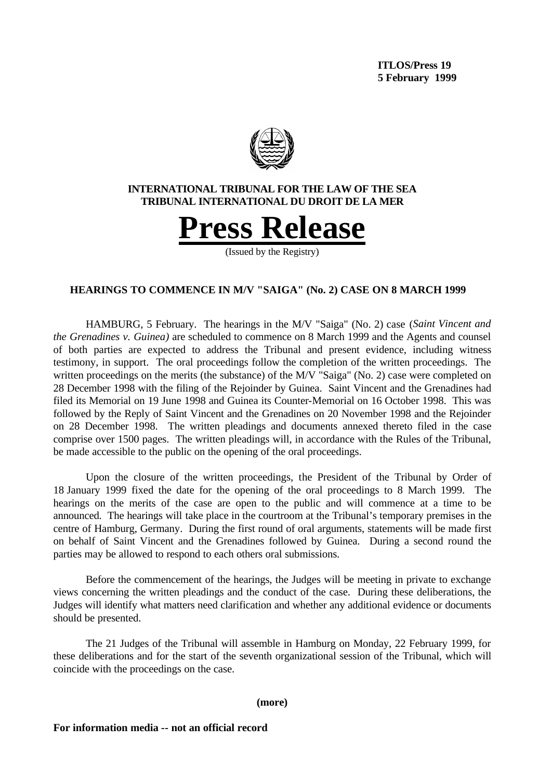

# **HEARINGS TO COMMENCE IN M/V "SAIGA" (No. 2) CASE ON 8 MARCH 1999**

HAMBURG, 5 February. The hearings in the M/V "Saiga" (No. 2) case (*Saint Vincent and the Grenadines v. Guinea)* are scheduled to commence on 8 March 1999 and the Agents and counsel of both parties are expected to address the Tribunal and present evidence, including witness testimony, in support. The oral proceedings follow the completion of the written proceedings. The written proceedings on the merits (the substance) of the M/V "Saiga" (No. 2) case were completed on 28 December 1998 with the filing of the Rejoinder by Guinea. Saint Vincent and the Grenadines had filed its Memorial on 19 June 1998 and Guinea its Counter-Memorial on 16 October 1998. This was followed by the Reply of Saint Vincent and the Grenadines on 20 November 1998 and the Rejoinder on 28 December 1998. The written pleadings and documents annexed thereto filed in the case comprise over 1500 pages. The written pleadings will, in accordance with the Rules of the Tribunal, be made accessible to the public on the opening of the oral proceedings.

Upon the closure of the written proceedings, the President of the Tribunal by Order of 18 January 1999 fixed the date for the opening of the oral proceedings to 8 March 1999. The hearings on the merits of the case are open to the public and will commence at a time to be announced. The hearings will take place in the courtroom at the Tribunal's temporary premises in the centre of Hamburg, Germany. During the first round of oral arguments, statements will be made first on behalf of Saint Vincent and the Grenadines followed by Guinea. During a second round the parties may be allowed to respond to each others oral submissions.

Before the commencement of the hearings, the Judges will be meeting in private to exchange views concerning the written pleadings and the conduct of the case. During these deliberations, the Judges will identify what matters need clarification and whether any additional evidence or documents should be presented.

The 21 Judges of the Tribunal will assemble in Hamburg on Monday, 22 February 1999, for these deliberations and for the start of the seventh organizational session of the Tribunal, which will coincide with the proceedings on the case.

**(more)**

**For information media -- not an official record**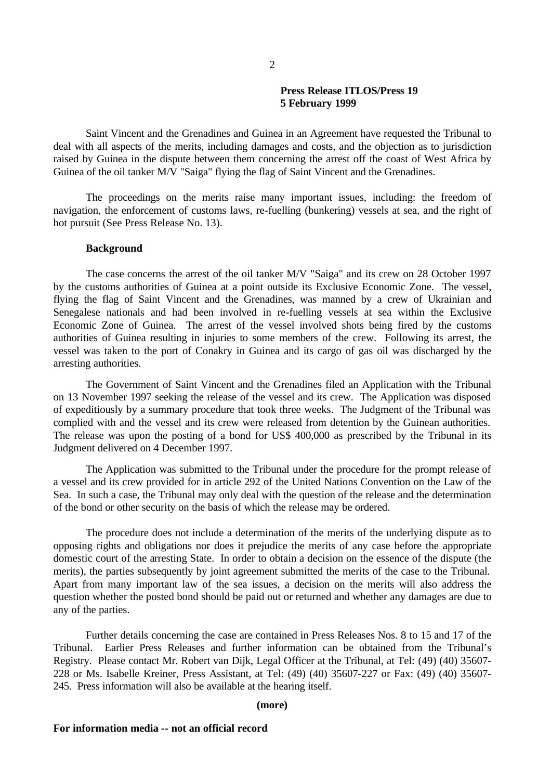## **Press Release ITLOS/Press 19 5 February 1999**

Saint Vincent and the Grenadines and Guinea in an Agreement have requested the Tribunal to deal with all aspects of the merits, including damages and costs, and the objection as to jurisdiction raised by Guinea in the dispute between them concerning the arrest off the coast of West Africa by Guinea of the oil tanker M/V "Saiga" flying the flag of Saint Vincent and the Grenadines.

The proceedings on the merits raise many important issues, including: the freedom of navigation, the enforcement of customs laws, re-fuelling (bunkering) vessels at sea, and the right of hot pursuit (See Press Release No. 13).

### **Background**

The case concerns the arrest of the oil tanker M/V "Saiga" and its crew on 28 October 1997 by the customs authorities of Guinea at a point outside its Exclusive Economic Zone. The vessel, flying the flag of Saint Vincent and the Grenadines, was manned by a crew of Ukrainian and Senegalese nationals and had been involved in re-fuelling vessels at sea within the Exclusive Economic Zone of Guinea. The arrest of the vessel involved shots being fired by the customs authorities of Guinea resulting in injuries to some members of the crew. Following its arrest, the vessel was taken to the port of Conakry in Guinea and its cargo of gas oil was discharged by the arresting authorities.

The Government of Saint Vincent and the Grenadines filed an Application with the Tribunal on 13 November 1997 seeking the release of the vessel and its crew. The Application was disposed of expeditiously by a summary procedure that took three weeks. The Judgment of the Tribunal was complied with and the vessel and its crew were released from detention by the Guinean authorities. The release was upon the posting of a bond for US\$ 400,000 as prescribed by the Tribunal in its Judgment delivered on 4 December 1997.

The Application was submitted to the Tribunal under the procedure for the prompt release of a vessel and its crew provided for in article 292 of the United Nations Convention on the Law of the Sea. In such a case, the Tribunal may only deal with the question of the release and the determination of the bond or other security on the basis of which the release may be ordered.

The procedure does not include a determination of the merits of the underlying dispute as to opposing rights and obligations nor does it prejudice the merits of any case before the appropriate domestic court of the arresting State. In order to obtain a decision on the essence of the dispute (the merits), the parties subsequently by joint agreement submitted the merits of the case to the Tribunal. Apart from many important law of the sea issues, a decision on the merits will also address the question whether the posted bond should be paid out or returned and whether any damages are due to any of the parties.

Further details concerning the case are contained in Press Releases Nos. 8 to 15 and 17 of the Tribunal. Earlier Press Releases and further information can be obtained from the Tribunal's Registry. Please contact Mr. Robert van Dijk, Legal Officer at the Tribunal, at Tel: (49) (40) 35607- 228 or Ms. Isabelle Kreiner, Press Assistant, at Tel: (49) (40) 35607-227 or Fax: (49) (40) 35607- 245. Press information will also be available at the hearing itself.

### **(more)**

#### **For information media -- not an official record**